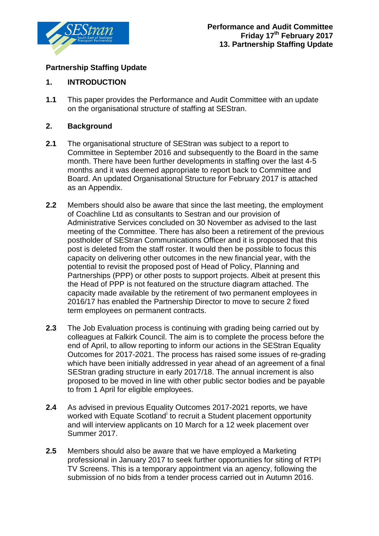

## **Partnership Staffing Update**

# **1. INTRODUCTION**

**1.1** This paper provides the Performance and Audit Committee with an update on the organisational structure of staffing at SEStran.

## **2. Background**

- **2.1** The organisational structure of SEStran was subject to a report to Committee in September 2016 and subsequently to the Board in the same month. There have been further developments in staffing over the last 4-5 months and it was deemed appropriate to report back to Committee and Board. An updated Organisational Structure for February 2017 is attached as an Appendix.
- **2.2** Members should also be aware that since the last meeting, the employment of Coachline Ltd as consultants to Sestran and our provision of Administrative Services concluded on 30 November as advised to the last meeting of the Committee. There has also been a retirement of the previous postholder of SEStran Communications Officer and it is proposed that this post is deleted from the staff roster. It would then be possible to focus this capacity on delivering other outcomes in the new financial year, with the potential to revisit the proposed post of Head of Policy, Planning and Partnerships (PPP) or other posts to support projects. Albeit at present this the Head of PPP is not featured on the structure diagram attached. The capacity made available by the retirement of two permanent employees in 2016/17 has enabled the Partnership Director to move to secure 2 fixed term employees on permanent contracts.
- **2.3** The Job Evaluation process is continuing with grading being carried out by colleagues at Falkirk Council. The aim is to complete the process before the end of April, to allow reporting to inform our actions in the SEStran Equality Outcomes for 2017-2021. The process has raised some issues of re-grading which have been initially addressed in year ahead of an agreement of a final SEStran grading structure in early 2017/18. The annual increment is also proposed to be moved in line with other public sector bodies and be payable to from 1 April for eligible employees.
- **2.4** As advised in previous Equality Outcomes 2017-2021 reports, we have worked w[i](#page-1-0)th Equate Scotland to recruit a Student placement opportunity and will interview applicants on 10 March for a 12 week placement over Summer 2017.
- **2.5** Members should also be aware that we have employed a Marketing professional in January 2017 to seek further opportunities for siting of RTPI TV Screens. This is a temporary appointment via an agency, following the submission of no bids from a tender process carried out in Autumn 2016.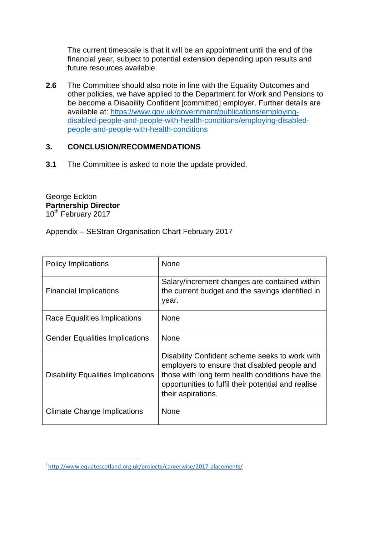The current timescale is that it will be an appointment until the end of the financial year, subject to potential extension depending upon results and future resources available.

**2.6** The Committee should also note in line with the Equality Outcomes and other policies, we have applied to the Department for Work and Pensions to be become a Disability Confident [committed] employer. Further details are available at: [https://www.gov.uk/government/publications/employing](https://www.gov.uk/government/publications/employing-disabled-people-and-people-with-health-conditions/employing-disabled-people-and-people-with-health-conditions)[disabled-people-and-people-with-health-conditions/employing-disabled](https://www.gov.uk/government/publications/employing-disabled-people-and-people-with-health-conditions/employing-disabled-people-and-people-with-health-conditions)[people-and-people-with-health-conditions](https://www.gov.uk/government/publications/employing-disabled-people-and-people-with-health-conditions/employing-disabled-people-and-people-with-health-conditions)

#### **3. CONCLUSION/RECOMMENDATIONS**

**3.1** The Committee is asked to note the update provided.

George Eckton **Partnership Director** 10<sup>th</sup> February 2017

Appendix – SEStran Organisation Chart February 2017

| <b>Policy Implications</b>                | <b>None</b>                                                                                                                                                                                                                    |
|-------------------------------------------|--------------------------------------------------------------------------------------------------------------------------------------------------------------------------------------------------------------------------------|
| <b>Financial Implications</b>             | Salary/increment changes are contained within<br>the current budget and the savings identified in<br>year.                                                                                                                     |
| Race Equalities Implications              | <b>None</b>                                                                                                                                                                                                                    |
| <b>Gender Equalities Implications</b>     | <b>None</b>                                                                                                                                                                                                                    |
| <b>Disability Equalities Implications</b> | Disability Confident scheme seeks to work with<br>employers to ensure that disabled people and<br>those with long term health conditions have the<br>opportunities to fulfil their potential and realise<br>their aspirations. |
| <b>Climate Change Implications</b>        | <b>None</b>                                                                                                                                                                                                                    |

<span id="page-1-0"></span>i <http://www.equatescotland.org.uk/projects/careerwise/2017-placements/>